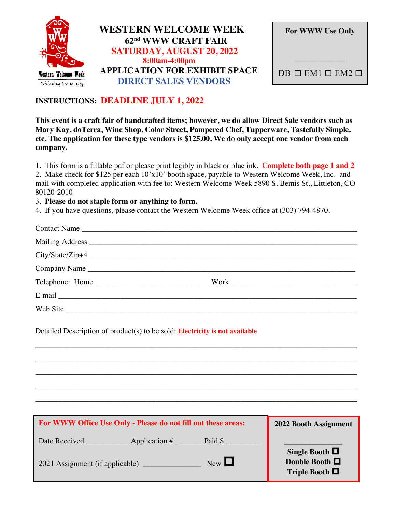

| <b>APPLICATION FOR EXHIBIT SPACE</b> |
|--------------------------------------|
|                                      |
|                                      |

| <b>For WWW Use Only</b>              |
|--------------------------------------|
| $DB \square EM1 \square EM2 \square$ |

## **INSTRUCTIONS: DEADLINE JULY 1, 2022**

**This event is a craft fair of handcrafted items; however, we do allow Direct Sale vendors such as Mary Kay, doTerra, Wine Shop, Color Street, Pampered Chef, Tupperware, Tastefully Simple. etc. The application for these type vendors is \$125.00. We do only accept one vendor from each company.** 

1. This form is a fillable pdf or please print legibly in black or blue ink. C**omplete both page 1 and 2** 

2. Make check for \$125 per each 10'x10' booth space, payable to Western Welcome Week, Inc. and mail with completed application with fee to: Western Welcome Week 5890 S. Bemis St., Littleton, CO 80120-2010

## 3. **Please do not staple form or anything to form.**

4. If you have questions, please contact the Western Welcome Week office at (303) 794-4870.

| Company Name |  |
|--------------|--|
|              |  |
|              |  |
|              |  |

\_\_\_\_\_\_\_\_\_\_\_\_\_\_\_\_\_\_\_\_\_\_\_\_\_\_\_\_\_\_\_\_\_\_\_\_\_\_\_\_\_\_\_\_\_\_\_\_\_\_\_\_\_\_\_\_\_\_\_\_\_\_\_\_\_\_\_\_\_\_\_\_\_\_\_\_\_\_\_\_\_\_\_

\_\_\_\_\_\_\_\_\_\_\_\_\_\_\_\_\_\_\_\_\_\_\_\_\_\_\_\_\_\_\_\_\_\_\_\_\_\_\_\_\_\_\_\_\_\_\_\_\_\_\_\_\_\_\_\_\_\_\_\_\_\_\_\_\_\_\_\_\_\_\_\_\_\_\_\_\_\_\_\_\_\_\_

\_\_\_\_\_\_\_\_\_\_\_\_\_\_\_\_\_\_\_\_\_\_\_\_\_\_\_\_\_\_\_\_\_\_\_\_\_\_\_\_\_\_\_\_\_\_\_\_\_\_\_\_\_\_\_\_\_\_\_\_\_\_\_\_\_\_\_\_\_\_\_\_\_\_\_\_\_\_\_\_\_\_\_

\_\_\_\_\_\_\_\_\_\_\_\_\_\_\_\_\_\_\_\_\_\_\_\_\_\_\_\_\_\_\_\_\_\_\_\_\_\_\_\_\_\_\_\_\_\_\_\_\_\_\_\_\_\_\_\_\_\_\_\_\_\_\_\_\_\_\_\_\_\_\_\_\_\_\_\_\_\_\_\_\_\_\_

\_\_\_\_\_\_\_\_\_\_\_\_\_\_\_\_\_\_\_\_\_\_\_\_\_\_\_\_\_\_\_\_\_\_\_\_\_\_\_\_\_\_\_\_\_\_\_\_\_\_\_\_\_\_\_\_\_\_\_\_\_\_\_\_\_\_\_\_\_\_\_\_\_\_\_\_\_\_\_\_\_\_\_

Detailed Description of product(s) to be sold: **Electricity is not available** 

| For WWW Office Use Only - Please do not fill out these areas:                                   | 2022 Booth Assignment                                                |
|-------------------------------------------------------------------------------------------------|----------------------------------------------------------------------|
| Date Received<br>Paid \$<br>Application $#_$<br>$New$ $\Box$<br>2021 Assignment (if applicable) | Single Booth $\Box$<br>Double Booth $\square$<br>Triple Booth $\Box$ |